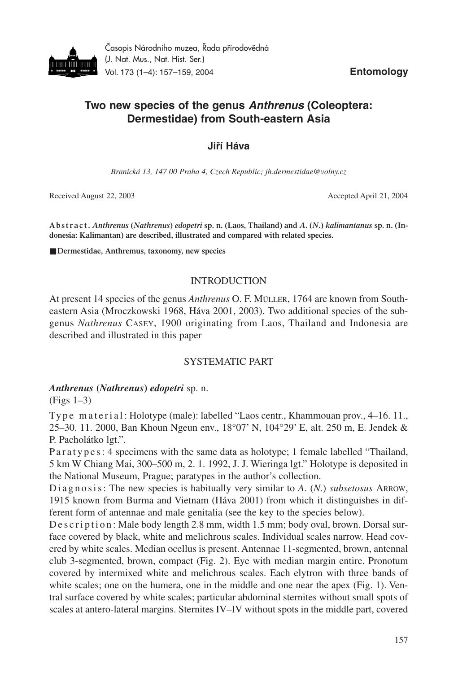

Časopis Národního muzea, Řada přírodovědná (J. Nat. Mus., Nat. Hist. Ser.) Vol. 173 (1–4): 157–159, 2004 **Entomology**

# **Two new species of the genus** *Anthrenus* **(Coleoptera: Dermestidae) from South-eastern Asia**

# **Jiří Háva**

*Branická 13, 147 00 Praha 4, Czech Republic; jh.dermestidae@volny.cz*

Received August 22, 2003 Accepted April 21, 2004

**A b s t r a c t .** *Anthrenus* **(***Nathrenus***)** *edopetri* **sp. n. (Laos, Thailand) and** *A***. (***N***.)** *kalimantanus* **sp. n. (Indonesia: Kalimantan) are described, illustrated and compared with related species.**

■ **Dermestidae, Anthremus, taxonomy, new species** 

# INTRODUCTION

At present 14 species of the genus *Anthrenus* O. F. MÜLLER, 1764 are known from Southeastern Asia (Mroczkowski 1968, Háva 2001, 2003). Two additional species of the subgenus *Nathrenus* CASEY, 1900 originating from Laos, Thailand and Indonesia are described and illustrated in this paper

# SYSTEMATIC PART

# *Anthrenus* **(***Nathrenus***)** *edopetri* sp. n.

(Figs 1–3)

Type material: Holotype (male): labelled "Laos centr., Khammouan prov., 4–16.11., 25–30. 11. 2000, Ban Khoun Ngeun env., 18°07' N, 104°29' E, alt. 250 m, E. Jendek & P. Pacholátko lgt.".

P a r a t y p e s : 4 specimens with the same data as holotype; 1 female labelled "Thailand, 5 km W Chiang Mai, 300–500 m, 2. 1. 1992, J. J. Wieringa lgt." Holotype is deposited in the National Museum, Prague; paratypes in the author's collection.

Diagnosis: The new species is habitually very similar to A. (N.) *subsetosus* ARROW, 1915 known from Burma and Vietnam (Háva 2001) from which it distinguishes in different form of antennae and male genitalia (see the key to the species below).

De s c r i p t i o n : Male body length 2.8 mm, width 1.5 mm; body oval, brown. Dorsal surface covered by black, white and melichrous scales. Individual scales narrow. Head covered by white scales. Median ocellus is present. Antennae 11-segmented, brown, antennal club 3-segmented, brown, compact (Fig. 2). Eye with median margin entire. Pronotum covered by intermixed white and melichrous scales. Each elytron with three bands of white scales; one on the humera, one in the middle and one near the apex (Fig. 1). Ventral surface covered by white scales; particular abdominal sternites without small spots of scales at antero-lateral margins. Sternites IV–IV without spots in the middle part, covered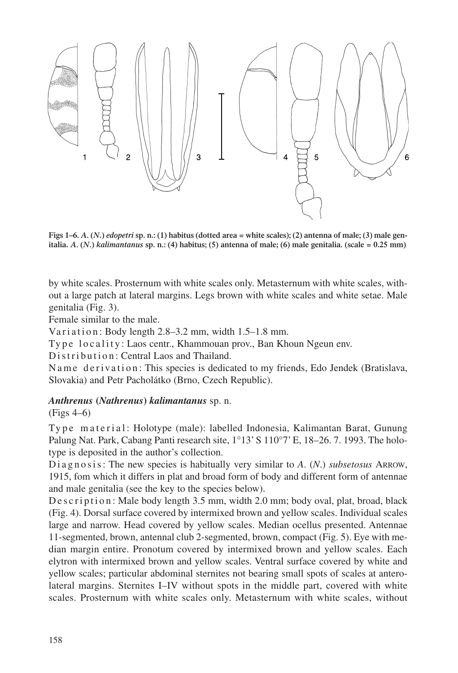

**Figs 1–6.** *A***. (***N***.)** *edopetri* **sp. n.: (1) habitus (dotted area = white scales); (2) antenna of male; (3) male genitalia.** *A***. (***N***.)** *kalimantanus* **sp. n.: (4) habitus; (5) antenna of male; (6) male genitalia. (scale = 0.25 mm)**

by white scales. Prosternum with white scales only. Metasternum with white scales, without a large patch at lateral margins. Legs brown with white scales and white setae. Male genitalia (Fig. 3).

Female similar to the male.

Variation: Body length  $2.8-3.2$  mm, width  $1.5-1.8$  mm.

Type locality: Laos centr., Khammouan prov., Ban Khoun Ngeun env.

Distribution: Central Laos and Thailand.

N a m e d e rivation: This species is dedicated to my friends, Edo Jendek (Bratislava, Slovakia) and Petr Pacholátko (Brno, Czech Republic).

# *Anthrenus* **(***Nathrenus***)** *kalimantanus* sp. n.

(Figs 4–6)

Type material: Holotype (male): labelled Indonesia, Kalimantan Barat, Gunung Palung Nat. Park, Cabang Panti research site,  $1^{\circ}13'$  S  $110^{\circ}7'$  E,  $18-26.7$ . 1993. The holotype is deposited in the author's collection.

Diagnosis: The new species is habitually very similar to A. (N.) *subsetosus* ARROW, 1915, fom which it differs in plat and broad form of body and different form of antennae and male genitalia (see the key to the species below).

D e s c r i p t i o n : Male body length 3.5 mm, width 2.0 mm; body oval, plat, broad, black (Fig. 4). Dorsal surface covered by intermixed brown and yellow scales. Individual scales large and narrow. Head covered by yellow scales. Median ocellus presented. Antennae 11-segmented, brown, antennal club 2-segmented, brown, compact (Fig. 5). Eye with median margin entire. Pronotum covered by intermixed brown and yellow scales. Each elytron with intermixed brown and yellow scales. Ventral surface covered by white and yellow scales; particular abdominal sternites not bearing small spots of scales at anterolateral margins. Sternites I–IV without spots in the middle part, covered with white scales. Prosternum with white scales only. Metasternum with white scales, without